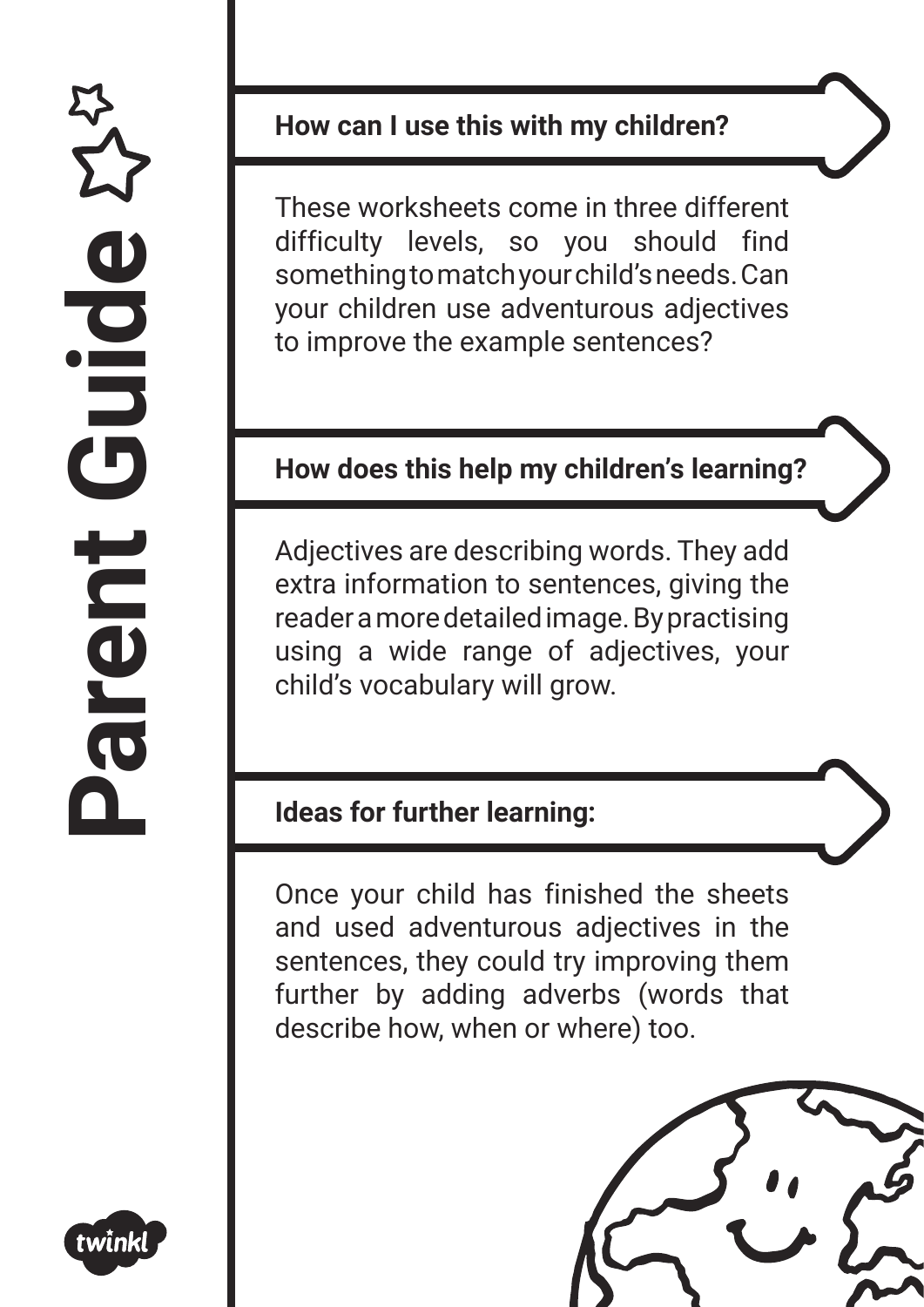

#### **How can I use this with my children?**

These worksheets come in three different difficulty levels, so you should find something to match your child's needs. Can your children use adventurous adjectives to improve the example sentences?

### **How does this help my children's learning?**

Adjectives are describing words. They add extra information to sentences, giving the reader a more detailed image. By practising using a wide range of adjectives, your child's vocabulary will grow.

### **Ideas for further learning:**

Once your child has finished the sheets and used adventurous adjectives in the sentences, they could try improving them further by adding adverbs (words that describe how, when or where) too.

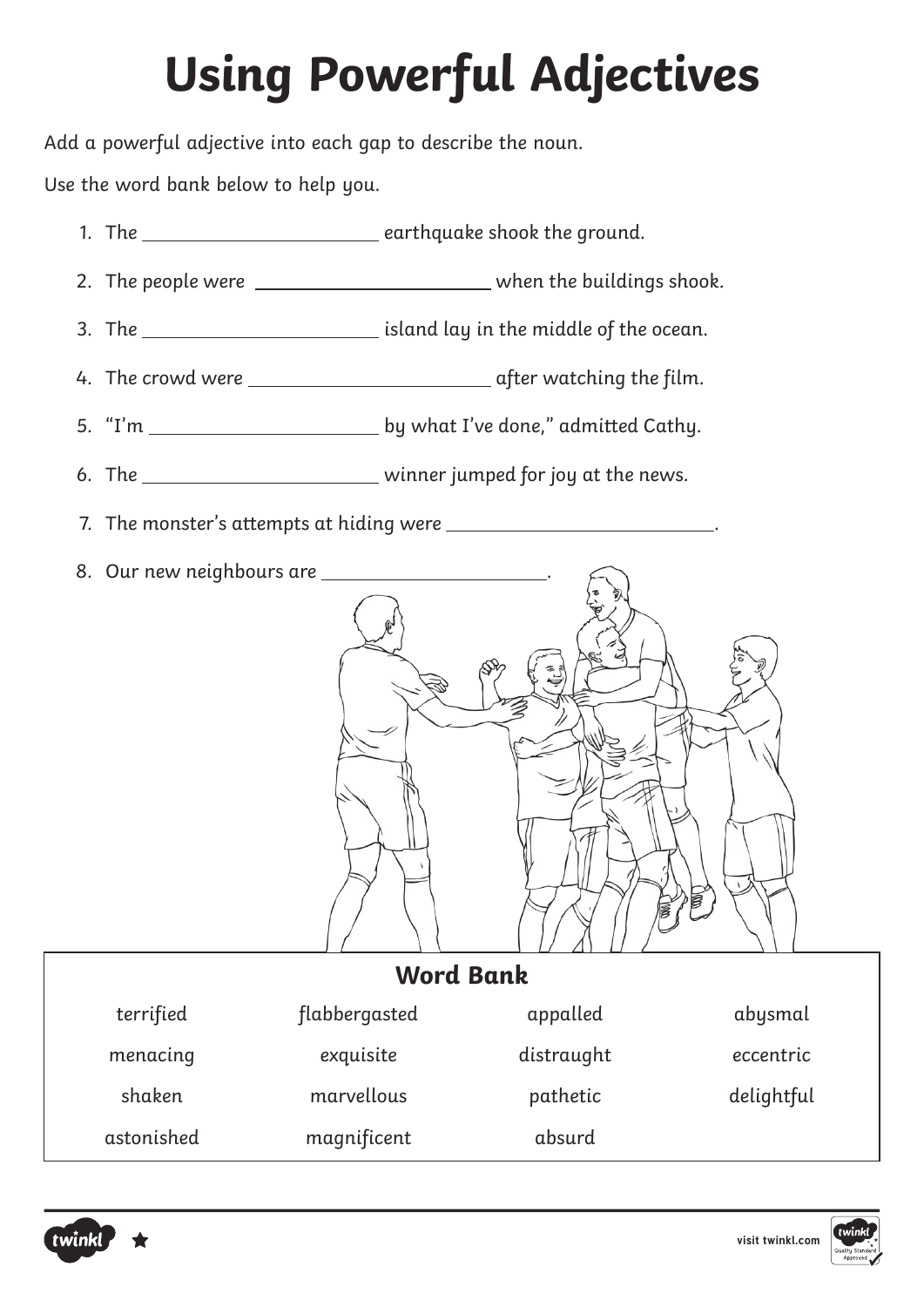# **Using Powerful Adjectives**

Add a powerful adjective into each gap to describe the noun.

Use the word bank below to help you.

- 1. The \_\_\_\_\_\_\_\_\_\_\_\_\_\_\_\_\_\_\_\_\_\_\_\_\_\_\_\_earthquake shook the ground.
- 2. The people were when the buildings shook.
- 3. The <u>influence island lay in the middle of the ocean</u>.
- 4. The crowd were after watching the film.
- 5. "I'm by what I've done," admitted Cathy.
- 6. The \_\_\_\_\_\_\_\_\_\_\_\_\_\_\_\_\_\_\_\_\_\_\_\_\_\_\_ winner jumped for joy at the news.
- 7. The monster's attempts at hiding were .
- 8. Our new neighbours are \_\_\_\_\_\_\_\_



| <b>Word Bank</b> |               |            |            |  |
|------------------|---------------|------------|------------|--|
| terrified        | flabbergasted | appalled   | abysmal    |  |
| menacing         | exquisite     | distraught | eccentric  |  |
| shaken           | marvellous    | pathetic   | delightful |  |
| astonished       | magnificent   | absurd     |            |  |



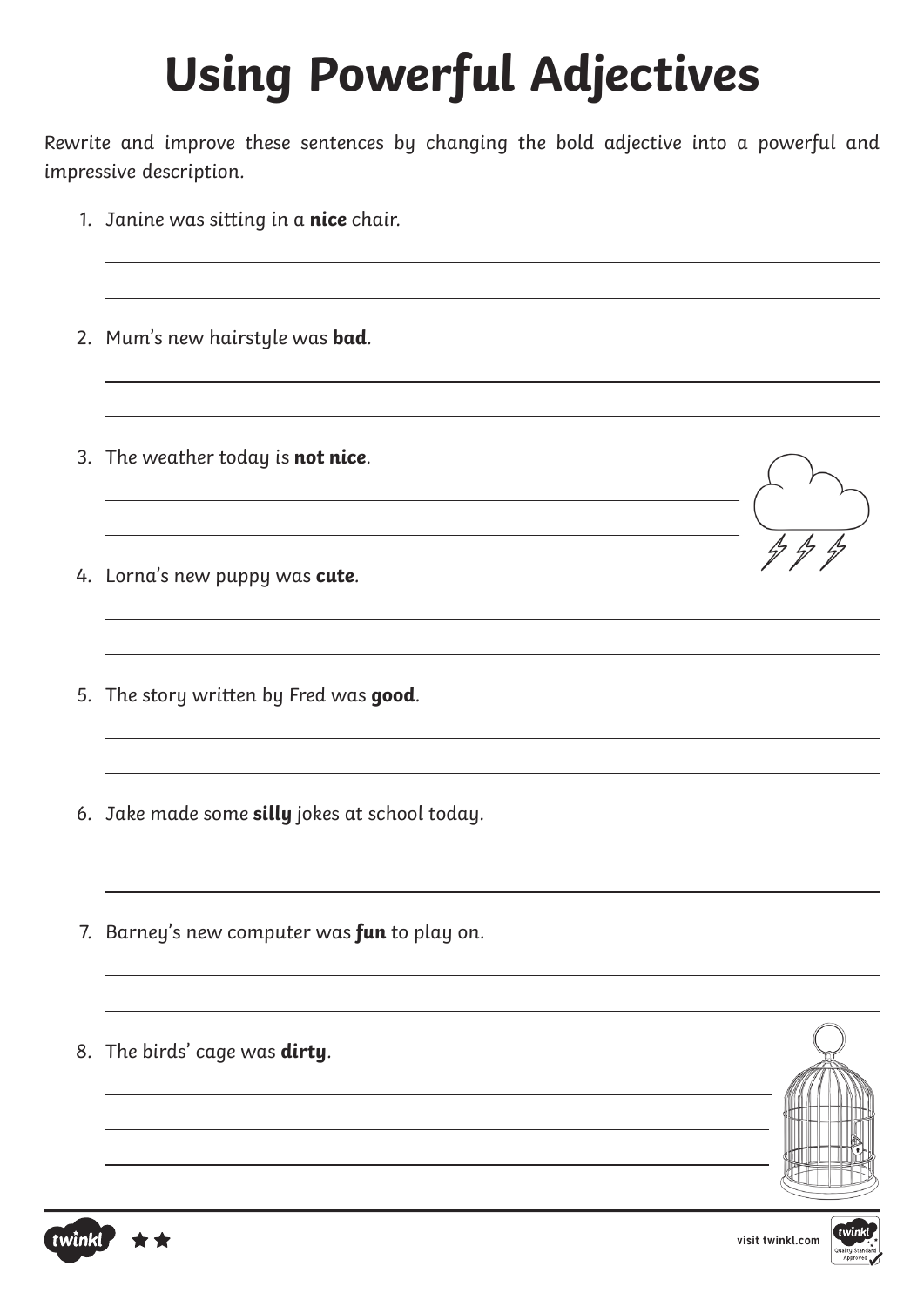# **Using Powerful Adjectives**

Rewrite and improve these sentences by changing the bold adjective into a powerful and impressive description.

<u> 1989 - Johann Barn, mars ann an t-Amhain an t-Amhain ann an t-Amhain an t-Amhain an t-Amhain an t-Amhain ann </u>

<u> 1989 - Johann Barbara, martxa alemaniar amerikan basar da a</u>

- 1. Janine was sitting in a **nice** chair.
- 2. Mum's new hairstyle was **bad**.
- 3. The weather today is **not nice**.
- 4. Lorna's new puppy was **cute**.
- 5. The story written by Fred was **good**.
- 6. Jake made some **silly** jokes at school today.
- 7. Barney's new computer was **fun** to play on.
- 8. The birds' cage was **dirty**.



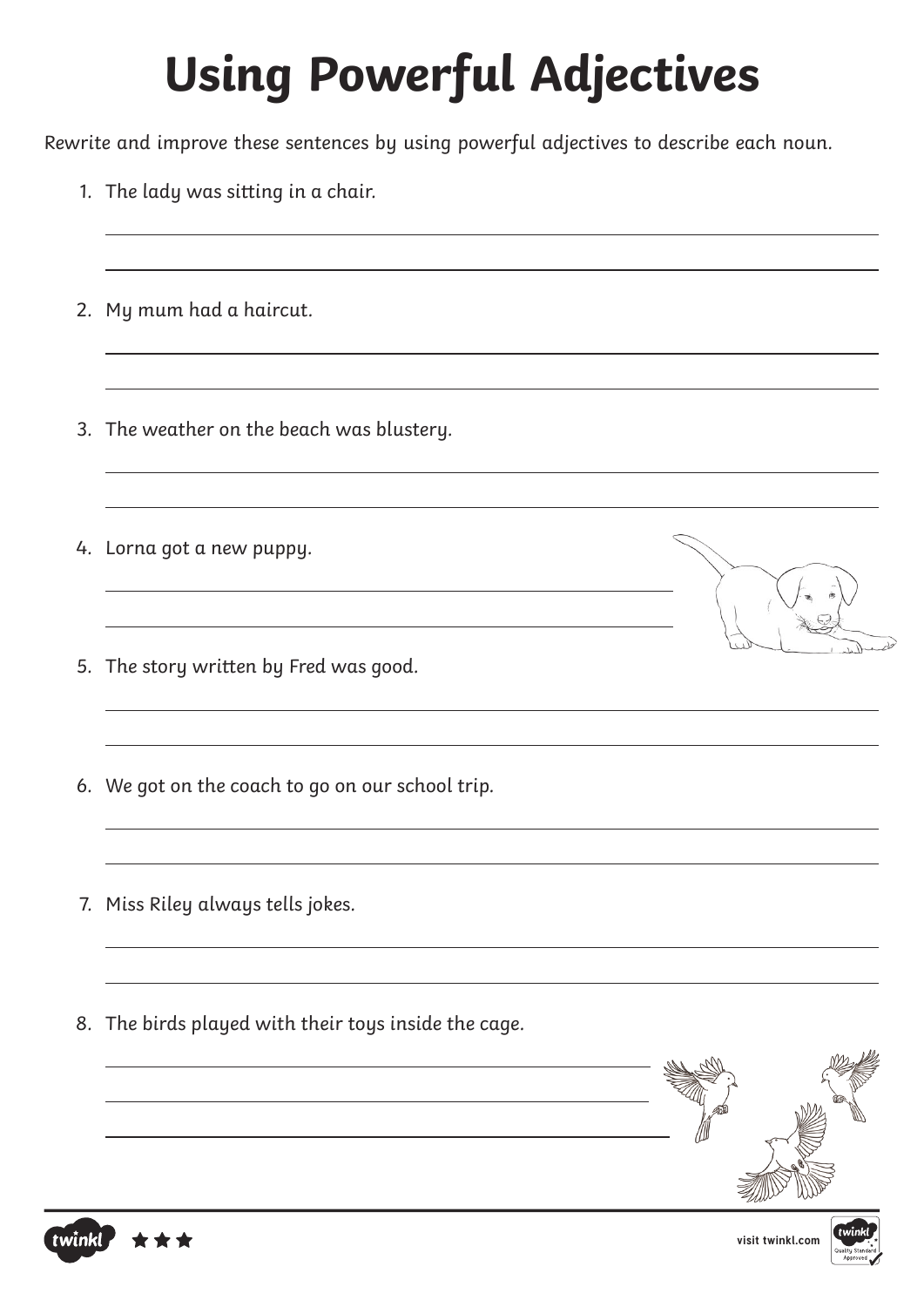# **Using Powerful Adjectives**

Rewrite and improve these sentences by using powerful adjectives to describe each noun.

1. The lady was sitting in a chair. 2. My mum had a haircut. 3. The weather on the beach was blustery. 4. Lorna got a new puppy. 5. The story written by Fred was good. 6. We got on the coach to go on our school trip. 7. Miss Riley always tells jokes. 8. The birds played with their toys inside the cage.